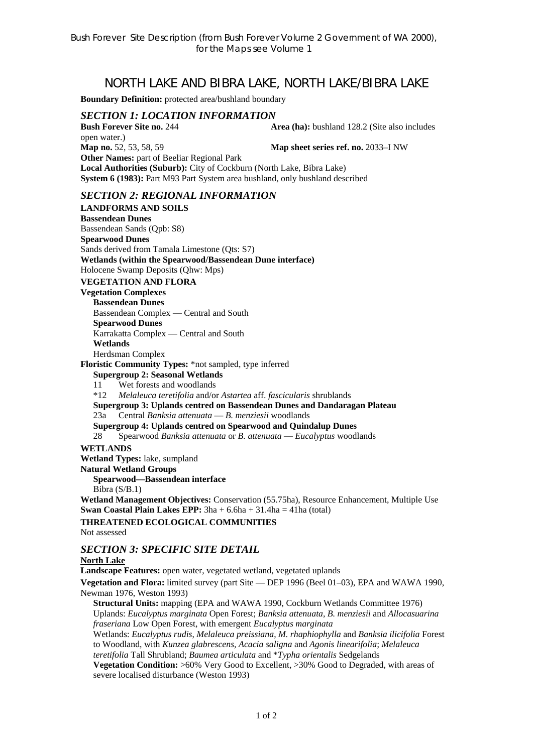# NORTH LAKE AND BIBRA LAKE, NORTH LAKE/BIBRA LAKE

**Boundary Definition:** protected area/bushland boundary

### *SECTION 1: LOCATION INFORMATION*

**Bush Forever Site no. 244 Area (ha):** bushland 128.2 (Site also includes open water.) **Map no.** 52, 53, 58, 59 **Map sheet series ref. no.** 2033–I NW **Other Names:** part of Beeliar Regional Park **Local Authorities (Suburb):** City of Cockburn (North Lake, Bibra Lake) **System 6 (1983):** Part M93 Part System area bushland, only bushland described

#### *SECTION 2: REGIONAL INFORMATION*

**LANDFORMS AND SOILS Bassendean Dunes**  Bassendean Sands (Qpb: S8) **Spearwood Dunes**  Sands derived from Tamala Limestone (Qts: S7) **Wetlands (within the Spearwood/Bassendean Dune interface)**  Holocene Swamp Deposits (Qhw: Mps) **VEGETATION AND FLORA Vegetation Complexes Bassendean Dunes**  Bassendean Complex — Central and South **Spearwood Dunes**  Karrakatta Complex — Central and South **Wetlands**  Herdsman Complex **Floristic Community Types:** \*not sampled, type inferred **Supergroup 2: Seasonal Wetlands** 11 Wet forests and woodlands \*12 *Melaleuca teretifolia* and/or *Astartea* aff. *fascicularis* shrublands **Supergroup 3: Uplands centred on Bassendean Dunes and Dandaragan Plateau**  23a Central *Banksia attenuata* — *B. menziesii* woodlands **Supergroup 4: Uplands centred on Spearwood and Quindalup Dunes**  28 Spearwood *Banksia attenuata* or *B. attenuata* — *Eucalyptus* woodlands **WETLANDS Wetland Types:** lake, sumpland **Natural Wetland Groups Spearwood—Bassendean interface**  Bibra (S/B.1) **Wetland Management Objectives:** Conservation (55.75ha), Resource Enhancement, Multiple Use **Swan Coastal Plain Lakes EPP:**  $3ha + 6.6ha + 31.4ha = 41ha$  (total) **THREATENED ECOLOGICAL COMMUNITIES**  Not assessed *SECTION 3: SPECIFIC SITE DETAIL*  **North Lake Landscape Features:** open water, vegetated wetland, vegetated uplands **Vegetation and Flora:** limited survey (part Site — DEP 1996 (Beel 01–03), EPA and WAWA 1990, Newman 1976, Weston 1993) **Structural Units:** mapping (EPA and WAWA 1990, Cockburn Wetlands Committee 1976) Uplands: *Eucalyptus marginata* Open Forest; *Banksia attenuata*, *B. menziesii* and *Allocasuarina fraseriana* Low Open Forest, with emergent *Eucalyptus marginata*  Wetlands: *Eucalyptus rudis*, *Melaleuca preissiana*, *M. rhaphiophylla* and *Banksia ilicifolia* Forest to Woodland, with *Kunzea glabrescens, Acacia saligna* and *Agonis linearifolia*; *Melaleuca teretifolia* Tall Shrubland; *Baumea articulata* and \**Typha orientalis* Sedgelands

**Vegetation Condition:** >60% Very Good to Excellent, >30% Good to Degraded, with areas of severe localised disturbance (Weston 1993)